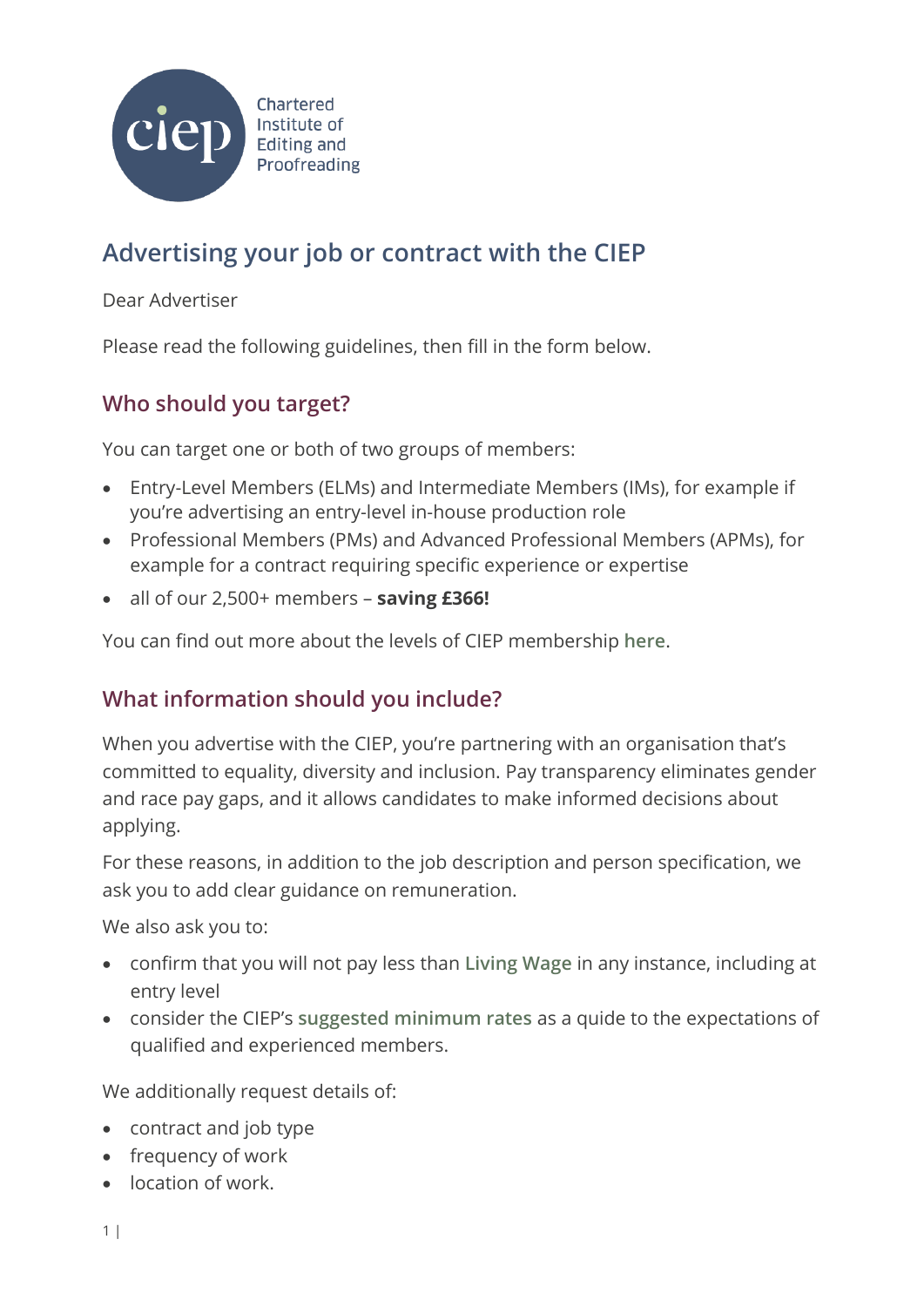

# **Advertising your job or contract with the CIEP**

Dear Advertiser

Please read the following guidelines, then fill in the form below.

## **Who should you target?**

You can target one or both of two groups of members:

- Entry-Level Members (ELMs) and Intermediate Members (IMs), for example if you're advertising an entry-level in-house production role
- Professional Members (PMs) and Advanced Professional Members (APMs), for example for a contract requiring specific experience or expertise
- all of our 2,500+ members **saving £366!**

You can find out more about the levels of CIEP membership **[here](https://www.ciep.uk/membership/individual-membership/individual-membership-grades)**.

### **What information should you include?**

When you advertise with the CIEP, you're partnering with an organisation that's committed to equality, diversity and inclusion. Pay transparency eliminates gender and race pay gaps, and it allows candidates to make informed decisions about applying.

For these reasons, in addition to the job description and person specification, we ask you to add clear guidance on remuneration.

We also ask you to:

- confirm that you will not pay less than **[Living Wage](https://www.livingwage.org.uk/)** in any instance, including at entry level
- consider the CIEP's **[suggested minimum rates](https://www.ciep.uk/resources/suggested-minimum-rates/)** as a quide to the expectations of qualified and experienced members.

We additionally request details of:

- contract and job type
- frequency of work
- **IDERT** location of work.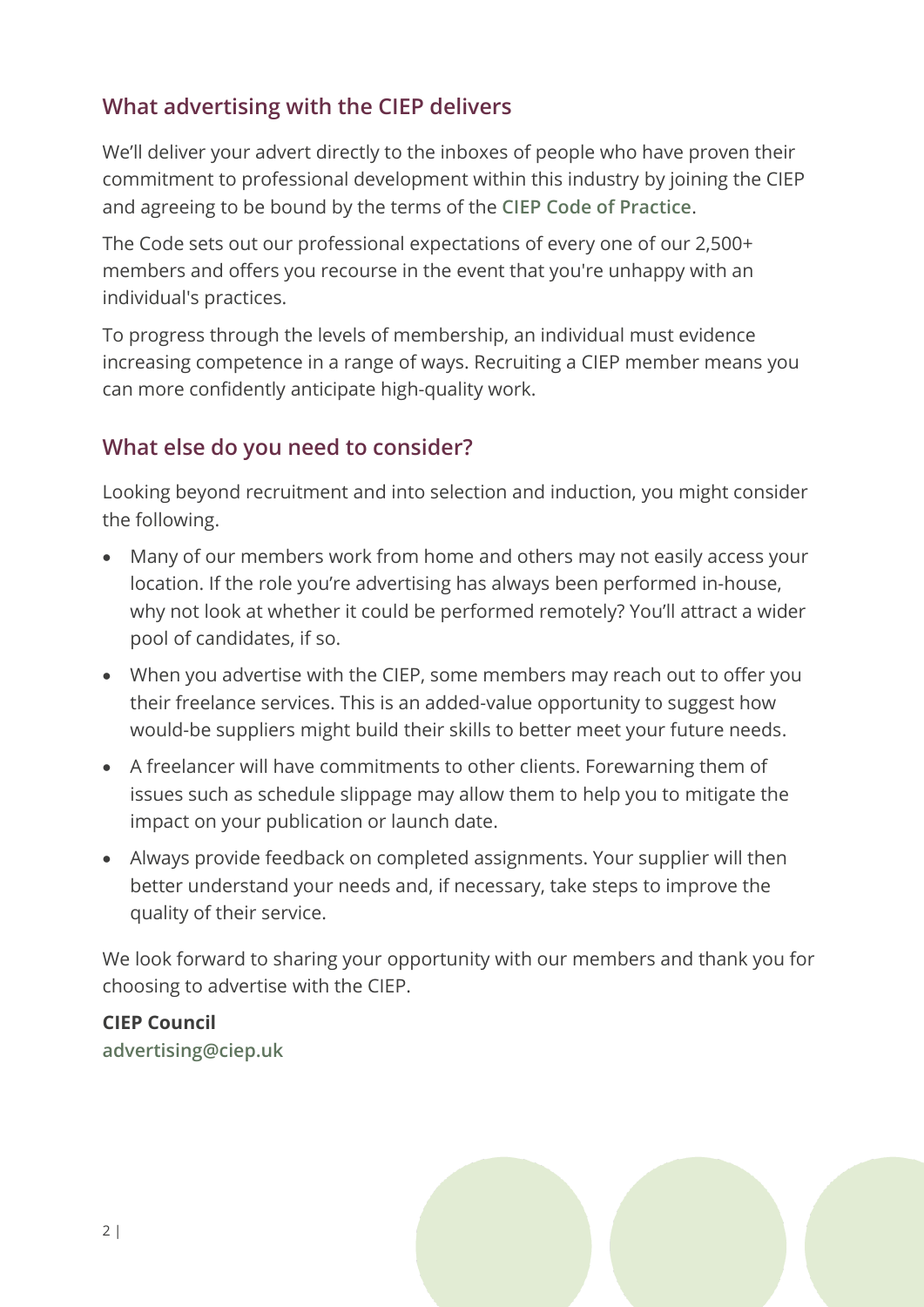# **What advertising with the CIEP delivers**

We'll deliver your advert directly to the inboxes of people who have proven their commitment to professional development within this industry by joining the CIEP and agreeing to be bound by the terms of the **[CIEP Code of Practice](https://www.ciep.uk/standards/code-of-practice/)**.

The Code sets out our professional expectations of every one of our 2,500+ members and offers you recourse in the event that you're unhappy with an individual's practices.

To progress through the levels of membership, an individual must evidence increasing competence in a range of ways. Recruiting a CIEP member means you can more confidently anticipate high-quality work.

## **What else do you need to consider?**

Looking beyond recruitment and into selection and induction, you might consider the following.

- Many of our members work from home and others may not easily access your location. If the role you're advertising has always been performed in-house, why not look at whether it could be performed remotely? You'll attract a wider pool of candidates, if so.
- When you advertise with the CIEP, some members may reach out to offer you their freelance services. This is an added-value opportunity to suggest how would-be suppliers might build their skills to better meet your future needs.
- A freelancer will have commitments to other clients. Forewarning them of issues such as schedule slippage may allow them to help you to mitigate the impact on your publication or launch date.
- Always provide feedback on completed assignments. Your supplier will then better understand your needs and, if necessary, take steps to improve the quality of their service.

We look forward to sharing your opportunity with our members and thank you for choosing to advertise with the CIEP.

#### **CIEP Council**

**[advertising@ciep.uk](mailto:advertising@ciep.uk)**

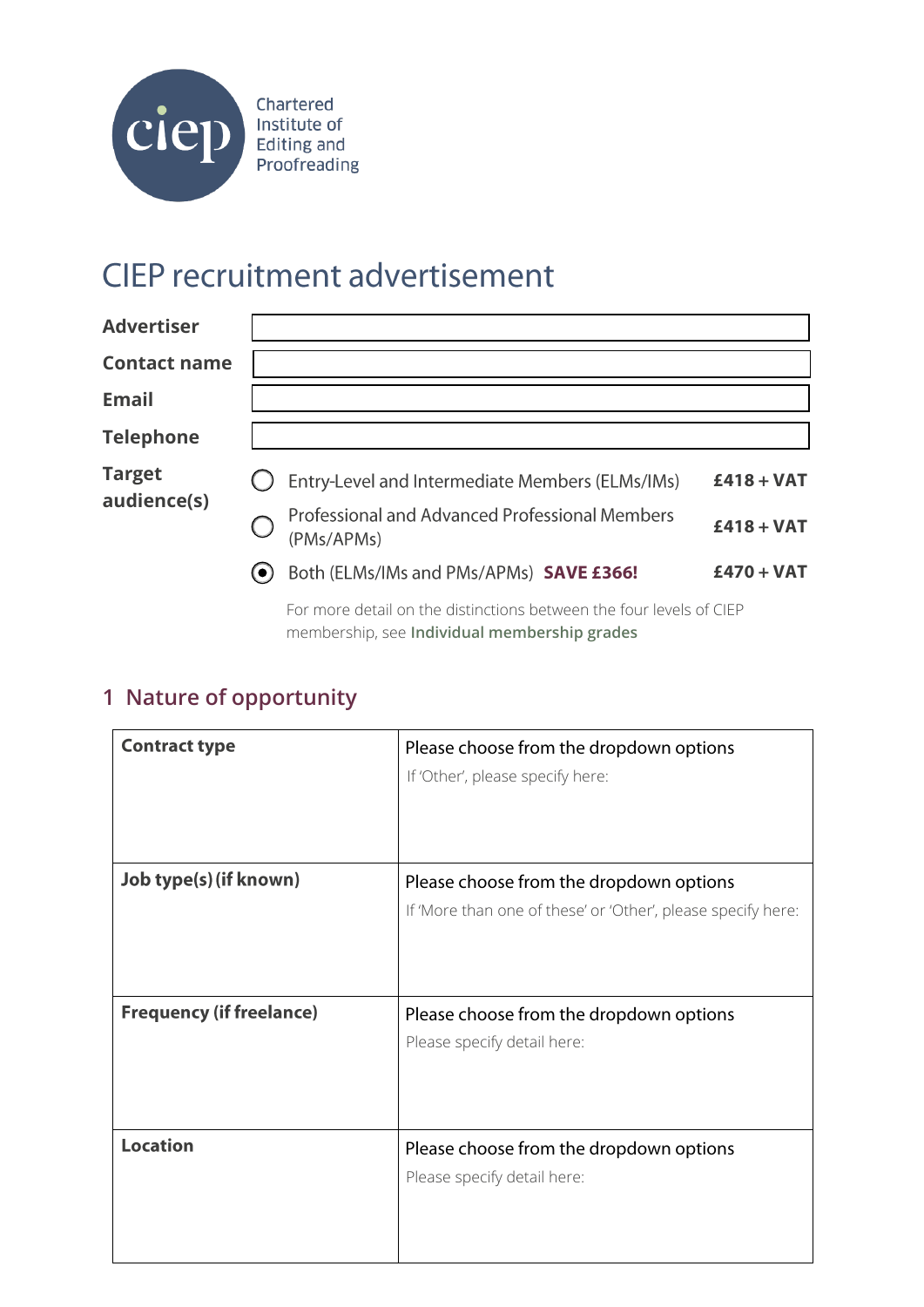

# **CIEP recruitment advertisement**

| <b>Advertiser</b>            |                                                              |              |
|------------------------------|--------------------------------------------------------------|--------------|
| <b>Contact name</b>          |                                                              |              |
| <b>Email</b>                 |                                                              |              |
| <b>Telephone</b>             |                                                              |              |
| <b>Target</b><br>audience(s) | Entry-Level and Intermediate Members (ELMs/IMs)              | $£418 + VAT$ |
|                              | Professional and Advanced Professional Members<br>(PMs/APMs) | $£418 + VAT$ |
|                              | Both (ELMs/IMs and PMs/APMs) SAVE £366!<br>(●)               | $£470 + VAT$ |

For more detail on the distinctions between the four levels of CIEP membership, see **[Individual membership grades](https://www.ciep.uk/membership/individual-membership/individual-membership-grades)**

# **1 Nature of opportunity**

| <b>Contract type</b>            | Please choose from the dropdown options<br>If 'Other', please specify here: |
|---------------------------------|-----------------------------------------------------------------------------|
|                                 |                                                                             |
| Job type(s) (if known)          | Please choose from the dropdown options                                     |
|                                 | If 'More than one of these' or 'Other', please specify here:                |
|                                 |                                                                             |
| <b>Frequency (if freelance)</b> | Please choose from the dropdown options                                     |
|                                 | Please specify detail here:                                                 |
|                                 |                                                                             |
|                                 |                                                                             |
|                                 |                                                                             |
| <b>Location</b>                 | Please choose from the dropdown options                                     |
|                                 | Please specify detail here:                                                 |
|                                 |                                                                             |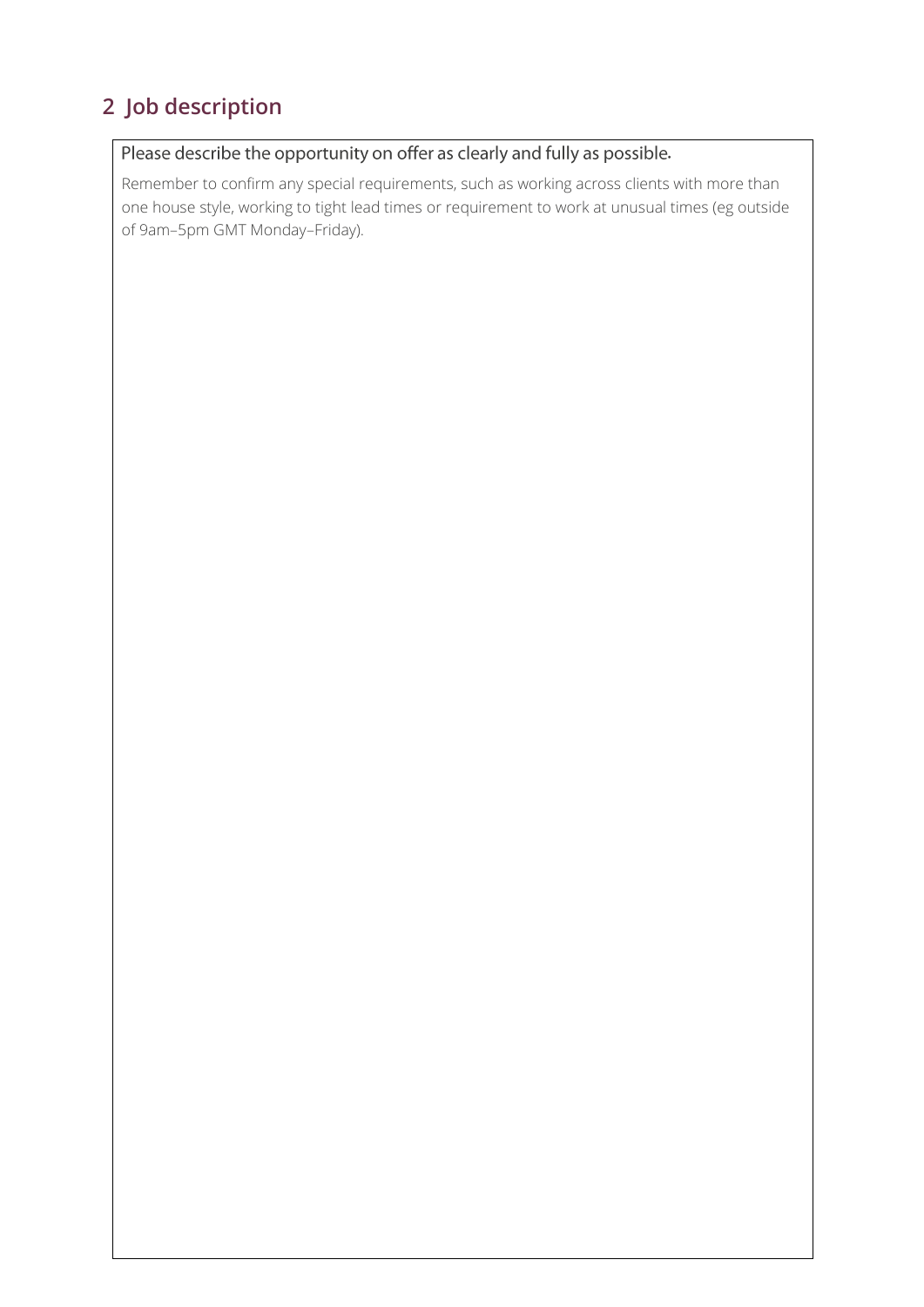# **2 Job description**

#### Please describe the opportunity on offer as clearly and fully as possible.

Remember to confirm any special requirements, such as working across clients with more than one house style, working to tight lead times or requirement to work at unusual times (eg outside of 9am–5pm GMT Monday–Friday).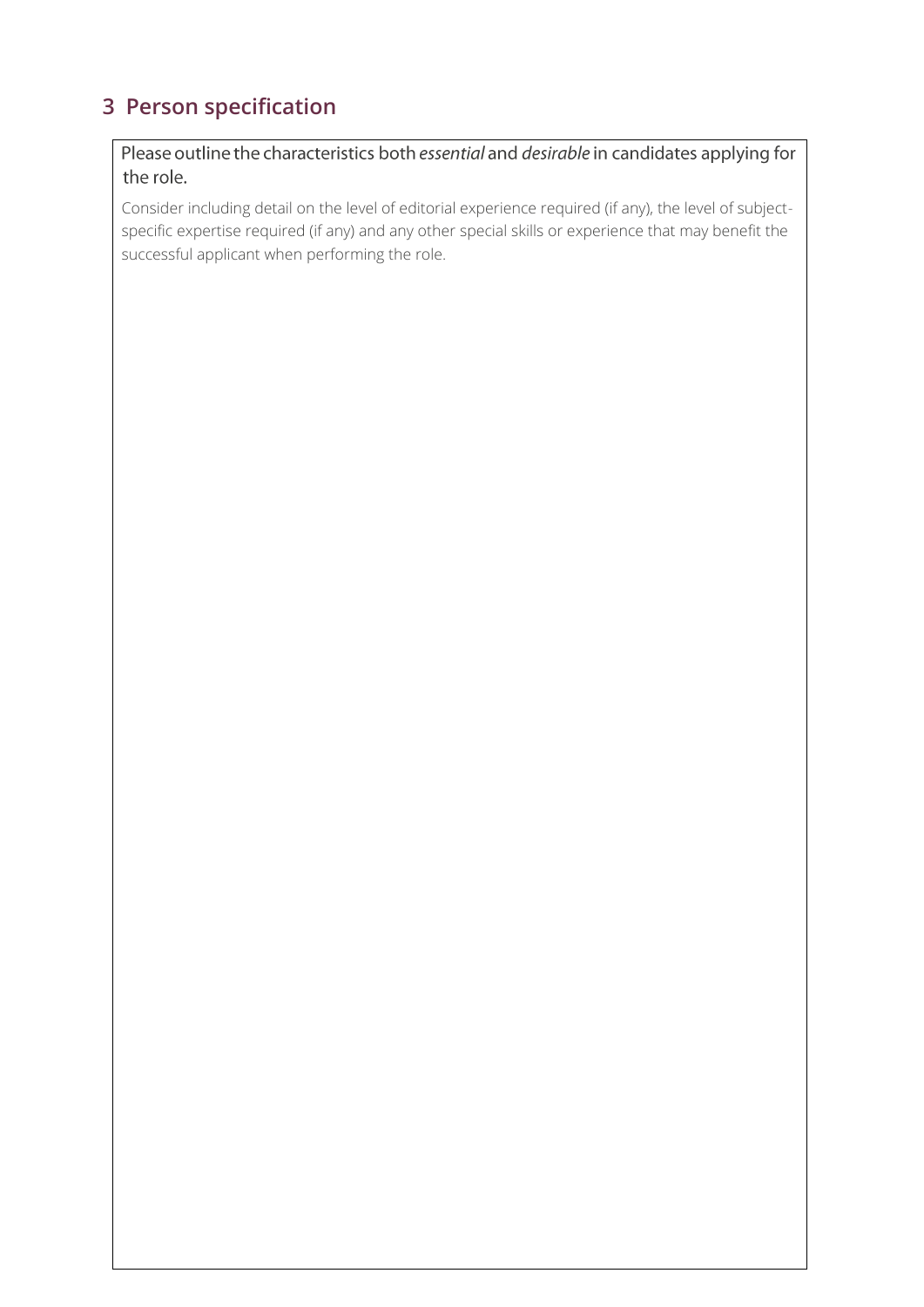# **3 Person specification**

Please outline the characteristics both essential and desirable in candidates applying for the role.

Consider including detail on the level of editorial experience required (if any), the level of subjectspecific expertise required (if any) and any other special skills or experience that may benefit the successful applicant when performing the role.